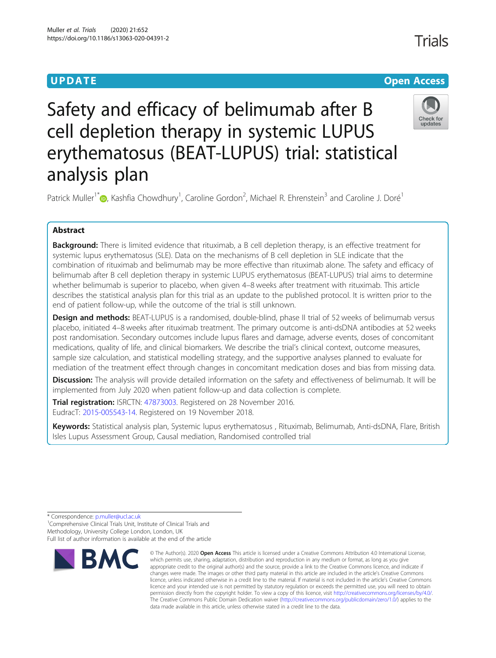## **UPDATE CONSERVATION CONSERVATION**

# Safety and efficacy of belimumab after B cell depletion therapy in systemic LUPUS erythematosus (BEAT-LUPUS) trial: statistical analysis plan

Patrick Muller<sup>1\*</sup>®[,](http://orcid.org/0000-0002-6824-578X) Kashfia Chowdhury<sup>1</sup>, Caroline Gordon<sup>2</sup>, Michael R. Ehrenstein<sup>3</sup> and Caroline J. Doré<sup>1</sup>

## Abstract

**Background:** There is limited evidence that rituximab, a B cell depletion therapy, is an effective treatment for systemic lupus erythematosus (SLE). Data on the mechanisms of B cell depletion in SLE indicate that the combination of rituximab and belimumab may be more effective than rituximab alone. The safety and efficacy of belimumab after B cell depletion therapy in systemic LUPUS erythematosus (BEAT-LUPUS) trial aims to determine whether belimumab is superior to placebo, when given 4–8 weeks after treatment with rituximab. This article describes the statistical analysis plan for this trial as an update to the published protocol. It is written prior to the end of patient follow-up, while the outcome of the trial is still unknown.

**Design and methods:** BEAT-LUPUS is a randomised, double-blind, phase II trial of 52 weeks of belimumab versus placebo, initiated 4–8 weeks after rituximab treatment. The primary outcome is anti-dsDNA antibodies at 52 weeks post randomisation. Secondary outcomes include lupus flares and damage, adverse events, doses of concomitant medications, quality of life, and clinical biomarkers. We describe the trial's clinical context, outcome measures, sample size calculation, and statistical modelling strategy, and the supportive analyses planned to evaluate for mediation of the treatment effect through changes in concomitant medication doses and bias from missing data.

Discussion: The analysis will provide detailed information on the safety and effectiveness of belimumab. It will be implemented from July 2020 when patient follow-up and data collection is complete.

Trial registration: ISRCTN: [47873003.](http://www.isrctn.com/ISRCTN47873003) Registered on 28 November 2016. EudracT: [2015-005543-14.](https://www.clinicaltrialsregister.eu/ctr-search/trial/2015-005543-14/GB) Registered on 19 November 2018.

Keywords: Statistical analysis plan, Systemic lupus erythematosus, Rituximab, Belimumab, Anti-dsDNA, Flare, British Isles Lupus Assessment Group, Causal mediation, Randomised controlled trial

\* Correspondence: [p.muller@ucl.ac.uk](mailto:p.muller@ucl.ac.uk) <sup>1</sup>

<sup>1</sup> Comprehensive Clinical Trials Unit, Institute of Clinical Trials and Methodology, University College London, London, UK Full list of author information is available at the end of the article



<sup>©</sup> The Author(s), 2020 **Open Access** This article is licensed under a Creative Commons Attribution 4.0 International License, which permits use, sharing, adaptation, distribution and reproduction in any medium or format, as long as you give appropriate credit to the original author(s) and the source, provide a link to the Creative Commons licence, and indicate if changes were made. The images or other third party material in this article are included in the article's Creative Commons licence, unless indicated otherwise in a credit line to the material. If material is not included in the article's Creative Commons licence and your intended use is not permitted by statutory regulation or exceeds the permitted use, you will need to obtain permission directly from the copyright holder. To view a copy of this licence, visit [http://creativecommons.org/licenses/by/4.0/.](http://creativecommons.org/licenses/by/4.0/) The Creative Commons Public Domain Dedication waiver [\(http://creativecommons.org/publicdomain/zero/1.0/](http://creativecommons.org/publicdomain/zero/1.0/)) applies to the data made available in this article, unless otherwise stated in a credit line to the data.

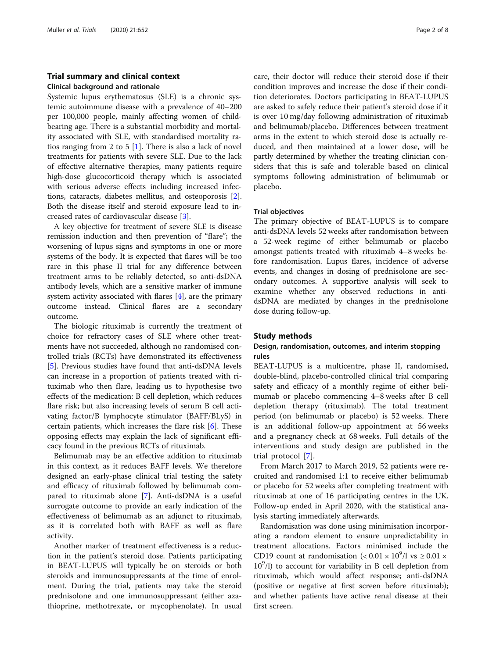## Trial summary and clinical context Clinical background and rationale

Systemic lupus erythematosus (SLE) is a chronic systemic autoimmune disease with a prevalence of 40–200 per 100,000 people, mainly affecting women of childbearing age. There is a substantial morbidity and mortality associated with SLE, with standardised mortality ratios ranging from 2 to 5  $[1]$  $[1]$ . There is also a lack of novel treatments for patients with severe SLE. Due to the lack of effective alternative therapies, many patients require high-dose glucocorticoid therapy which is associated with serious adverse effects including increased infections, cataracts, diabetes mellitus, and osteoporosis [\[2](#page-7-0)]. Both the disease itself and steroid exposure lead to increased rates of cardiovascular disease [\[3](#page-7-0)].

A key objective for treatment of severe SLE is disease remission induction and then prevention of "flare"; the worsening of lupus signs and symptoms in one or more systems of the body. It is expected that flares will be too rare in this phase II trial for any difference between treatment arms to be reliably detected, so anti-dsDNA antibody levels, which are a sensitive marker of immune system activity associated with flares [\[4](#page-7-0)], are the primary outcome instead. Clinical flares are a secondary outcome.

The biologic rituximab is currently the treatment of choice for refractory cases of SLE where other treatments have not succeeded, although no randomised controlled trials (RCTs) have demonstrated its effectiveness [[5\]](#page-7-0). Previous studies have found that anti-dsDNA levels can increase in a proportion of patients treated with rituximab who then flare, leading us to hypothesise two effects of the medication: B cell depletion, which reduces flare risk; but also increasing levels of serum B cell activating factor/B lymphocyte stimulator (BAFF/BLyS) in certain patients, which increases the flare risk [[6](#page-7-0)]. These opposing effects may explain the lack of significant efficacy found in the previous RCTs of rituximab.

Belimumab may be an effective addition to rituximab in this context, as it reduces BAFF levels. We therefore designed an early-phase clinical trial testing the safety and efficacy of rituximab followed by belimumab compared to rituximab alone [[7\]](#page-7-0). Anti-dsDNA is a useful surrogate outcome to provide an early indication of the effectiveness of belimumab as an adjunct to rituximab, as it is correlated both with BAFF as well as flare activity.

Another marker of treatment effectiveness is a reduction in the patient's steroid dose. Patients participating in BEAT-LUPUS will typically be on steroids or both steroids and immunosuppressants at the time of enrolment. During the trial, patients may take the steroid prednisolone and one immunosuppressant (either azathioprine, methotrexate, or mycophenolate). In usual

care, their doctor will reduce their steroid dose if their condition improves and increase the dose if their condition deteriorates. Doctors participating in BEAT-LUPUS are asked to safely reduce their patient's steroid dose if it is over 10 mg/day following administration of rituximab and belimumab/placebo. Differences between treatment arms in the extent to which steroid dose is actually reduced, and then maintained at a lower dose, will be partly determined by whether the treating clinician considers that this is safe and tolerable based on clinical symptoms following administration of belimumab or placebo.

## Trial objectives

The primary objective of BEAT-LUPUS is to compare anti-dsDNA levels 52 weeks after randomisation between a 52-week regime of either belimumab or placebo amongst patients treated with rituximab 4–8 weeks before randomisation. Lupus flares, incidence of adverse events, and changes in dosing of prednisolone are secondary outcomes. A supportive analysis will seek to examine whether any observed reductions in antidsDNA are mediated by changes in the prednisolone dose during follow-up.

## Study methods

## Design, randomisation, outcomes, and interim stopping rules

BEAT-LUPUS is a multicentre, phase II, randomised, double-blind, placebo-controlled clinical trial comparing safety and efficacy of a monthly regime of either belimumab or placebo commencing 4–8 weeks after B cell depletion therapy (rituximab). The total treatment period (on belimumab or placebo) is 52 weeks. There is an additional follow-up appointment at 56 weeks and a pregnancy check at 68 weeks. Full details of the interventions and study design are published in the trial protocol [[7\]](#page-7-0).

From March 2017 to March 2019, 52 patients were recruited and randomised 1:1 to receive either belimumab or placebo for 52 weeks after completing treatment with rituximab at one of 16 participating centres in the UK. Follow-up ended in April 2020, with the statistical analysis starting immediately afterwards.

Randomisation was done using minimisation incorporating a random element to ensure unpredictability in treatment allocations. Factors minimised include the CD19 count at randomisation  $(< 0.01 \times 10^9/l \text{ vs } \ge 0.01 \times 10^9/l \text{ vs } \ge 0.01 \times 10^9/l \text{ vs } \ge 0.01 \times 10^9/l \text{ vs } \ge 0.01 \times 10^9/l \text{ vs } \ge 0.01 \times 10^9/l \text{ vs } \ge 0.01 \times 10^9/l \text{ vs } \ge 0.01 \times 10^9/l \text{ vs } \ge 0.01 \times 10^9/l \text{ vs } \ge 0.01 \times 10^$ 10<sup>9</sup>/l) to account for variability in B cell depletion from rituximab, which would affect response; anti-dsDNA (positive or negative at first screen before rituximab); and whether patients have active renal disease at their first screen.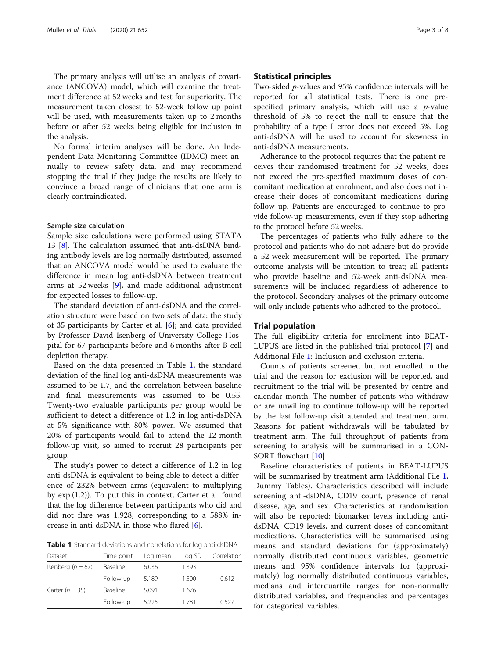The primary analysis will utilise an analysis of covariance (ANCOVA) model, which will examine the treatment difference at 52 weeks and test for superiority. The measurement taken closest to 52-week follow up point will be used, with measurements taken up to 2 months before or after 52 weeks being eligible for inclusion in the analysis.

No formal interim analyses will be done. An Independent Data Monitoring Committee (IDMC) meet annually to review safety data, and may recommend stopping the trial if they judge the results are likely to convince a broad range of clinicians that one arm is clearly contraindicated.

#### Sample size calculation

Sample size calculations were performed using STATA 13 [[8\]](#page-7-0). The calculation assumed that anti-dsDNA binding antibody levels are log normally distributed, assumed that an ANCOVA model would be used to evaluate the difference in mean log anti-dsDNA between treatment arms at 52 weeks [[9\]](#page-7-0), and made additional adjustment for expected losses to follow-up.

The standard deviation of anti-dsDNA and the correlation structure were based on two sets of data: the study of 35 participants by Carter et al. [[6\]](#page-7-0); and data provided by Professor David Isenberg of University College Hospital for 67 participants before and 6 months after B cell depletion therapy.

Based on the data presented in Table 1, the standard deviation of the final log anti-dsDNA measurements was assumed to be 1.7, and the correlation between baseline and final measurements was assumed to be 0.55. Twenty-two evaluable participants per group would be sufficient to detect a difference of 1.2 in log anti-dsDNA at 5% significance with 80% power. We assumed that 20% of participants would fail to attend the 12-month follow-up visit, so aimed to recruit 28 participants per group.

The study's power to detect a difference of 1.2 in log anti-dsDNA is equivalent to being able to detect a difference of 232% between arms (equivalent to multiplying by exp.(1.2)). To put this in context, Carter et al. found that the log difference between participants who did and did not flare was 1.928, corresponding to a 588% increase in anti-dsDNA in those who flared [\[6](#page-7-0)].

Table 1 Standard deviations and correlations for log anti-dsDNA

| Dataset               | Time point | Log mean | Log SD | Correlation |
|-----------------------|------------|----------|--------|-------------|
| Isenberg ( $n = 67$ ) | Baseline   | 6.036    | 1.393  |             |
|                       | Follow-up  | 5.189    | 1.500  | 0.612       |
| Carter $(n = 35)$     | Baseline   | 5.091    | 1.676  |             |
|                       | Follow-up  | 5.225    | 1.781  | 0.527       |

## Statistical principles

Two-sided p-values and 95% confidence intervals will be reported for all statistical tests. There is one prespecified primary analysis, which will use a  $p$ -value threshold of 5% to reject the null to ensure that the probability of a type I error does not exceed 5%. Log anti-dsDNA will be used to account for skewness in anti-dsDNA measurements.

Adherance to the protocol requires that the patient receives their randomised treatment for 52 weeks, does not exceed the pre-specified maximum doses of concomitant medication at enrolment, and also does not increase their doses of concomitant medications during follow up. Patients are encouraged to continue to provide follow-up measurements, even if they stop adhering to the protocol before 52 weeks.

The percentages of patients who fully adhere to the protocol and patients who do not adhere but do provide a 52-week measurement will be reported. The primary outcome analysis will be intention to treat; all patients who provide baseline and 52-week anti-dsDNA measurements will be included regardless of adherence to the protocol. Secondary analyses of the primary outcome will only include patients who adhered to the protocol.

## Trial population

The full eligibility criteria for enrolment into BEAT-LUPUS are listed in the published trial protocol [[7\]](#page-7-0) and Additional File [1](#page-6-0): Inclusion and exclusion criteria.

Counts of patients screened but not enrolled in the trial and the reason for exclusion will be reported, and recruitment to the trial will be presented by centre and calendar month. The number of patients who withdraw or are unwilling to continue follow-up will be reported by the last follow-up visit attended and treatment arm. Reasons for patient withdrawals will be tabulated by treatment arm. The full throughput of patients from screening to analysis will be summarised in a CON-SORT flowchart [\[10](#page-7-0)].

Baseline characteristics of patients in BEAT-LUPUS will be summarised by treatment arm (Additional File [1](#page-6-0), Dummy Tables). Characteristics described will include screening anti-dsDNA, CD19 count, presence of renal disease, age, and sex. Characteristics at randomisation will also be reported: biomarker levels including antidsDNA, CD19 levels, and current doses of concomitant medications. Characteristics will be summarised using means and standard deviations for (approximately) normally distributed continuous variables, geometric means and 95% confidence intervals for (approximately) log normally distributed continuous variables, medians and interquartile ranges for non-normally distributed variables, and frequencies and percentages for categorical variables.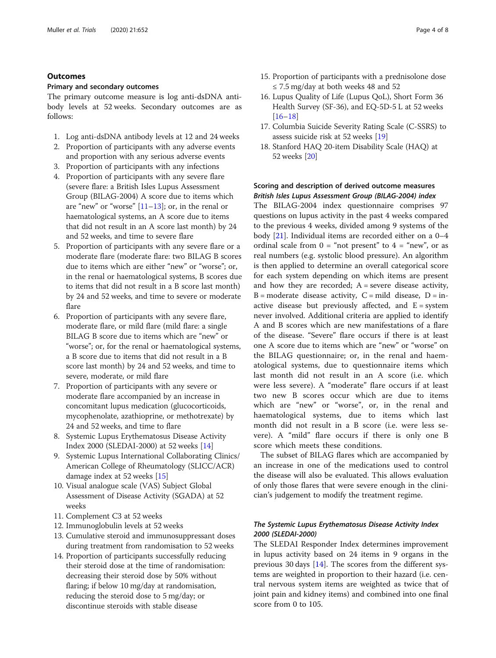## **Outcomes**

## Primary and secondary outcomes

The primary outcome measure is log anti-dsDNA antibody levels at 52 weeks. Secondary outcomes are as follows:

- 1. Log anti-dsDNA antibody levels at 12 and 24 weeks
- 2. Proportion of participants with any adverse events and proportion with any serious adverse events
- 3. Proportion of participants with any infections
- 4. Proportion of participants with any severe flare (severe flare: a British Isles Lupus Assessment Group (BILAG-2004) A score due to items which are "new" or "worse"  $[11-13]$  $[11-13]$  $[11-13]$  $[11-13]$ ; or, in the renal or haematological systems, an A score due to items that did not result in an A score last month) by 24 and 52 weeks, and time to severe flare
- 5. Proportion of participants with any severe flare or a moderate flare (moderate flare: two BILAG B scores due to items which are either "new" or "worse"; or, in the renal or haematological systems, B scores due to items that did not result in a B score last month) by 24 and 52 weeks, and time to severe or moderate flare
- 6. Proportion of participants with any severe flare, moderate flare, or mild flare (mild flare: a single BILAG B score due to items which are "new" or "worse"; or, for the renal or haematological systems, a B score due to items that did not result in a B score last month) by 24 and 52 weeks, and time to severe, moderate, or mild flare
- 7. Proportion of participants with any severe or moderate flare accompanied by an increase in concomitant lupus medication (glucocorticoids, mycophenolate, azathioprine, or methotrexate) by 24 and 52 weeks, and time to flare
- 8. Systemic Lupus Erythematosus Disease Activity Index 2000 (SLEDAI-2000) at 52 weeks [[14](#page-7-0)]
- 9. Systemic Lupus International Collaborating Clinics/ American College of Rheumatology (SLICC/ACR) damage index at 52 weeks [[15](#page-7-0)]
- 10. Visual analogue scale (VAS) Subject Global Assessment of Disease Activity (SGADA) at 52 weeks
- 11. Complement C3 at 52 weeks
- 12. Immunoglobulin levels at 52 weeks
- 13. Cumulative steroid and immunosuppressant doses during treatment from randomisation to 52 weeks
- 14. Proportion of participants successfully reducing their steroid dose at the time of randomisation: decreasing their steroid dose by 50% without flaring; if below 10 mg/day at randomisation, reducing the steroid dose to 5 mg/day; or discontinue steroids with stable disease
- 15. Proportion of participants with a prednisolone dose  $\leq$  7.5 mg/day at both weeks 48 and 52
- 16. Lupus Quality of Life (Lupus QoL), Short Form 36 Health Survey (SF-36), and EQ-5D-5 L at 52 weeks [[16](#page-7-0)–[18\]](#page-7-0)
- 17. Columbia Suicide Severity Rating Scale (C-SSRS) to assess suicide risk at 52 weeks [\[19](#page-7-0)]
- 18. Stanford HAQ 20-item Disability Scale (HAQ) at 52 weeks [[20](#page-7-0)]

## Scoring and description of derived outcome measures British Isles Lupus Assessment Group (BILAG-2004) index

The BILAG-2004 index questionnaire comprises 97 questions on lupus activity in the past 4 weeks compared to the previous 4 weeks, divided among 9 systems of the body [\[21\]](#page-7-0). Individual items are recorded either on a 0–4 ordinal scale from  $0 = \text{``not present''}$  to  $4 = \text{``new''},$  or as real numbers (e.g. systolic blood pressure). An algorithm is then applied to determine an overall categorical score for each system depending on which items are present and how they are recorded;  $A$  = severe disease activity,  $B =$  moderate disease activity,  $C =$  mild disease,  $D =$  inactive disease but previously affected, and  $E =$  system never involved. Additional criteria are applied to identify A and B scores which are new manifestations of a flare of the disease. "Severe" flare occurs if there is at least one A score due to items which are "new" or "worse" on the BILAG questionnaire; or, in the renal and haematological systems, due to questionnaire items which last month did not result in an A score (i.e. which were less severe). A "moderate" flare occurs if at least two new B scores occur which are due to items which are "new" or "worse", or, in the renal and haematological systems, due to items which last month did not result in a B score (i.e. were less severe). A "mild" flare occurs if there is only one B score which meets these conditions.

The subset of BILAG flares which are accompanied by an increase in one of the medications used to control the disease will also be evaluated. This allows evaluation of only those flares that were severe enough in the clinician's judgement to modify the treatment regime.

## The Systemic Lupus Erythematosus Disease Activity Index 2000 (SLEDAI-2000)

The SLEDAI Responder Index determines improvement in lupus activity based on 24 items in 9 organs in the previous 30 days [[14\]](#page-7-0). The scores from the different systems are weighted in proportion to their hazard (i.e. central nervous system items are weighted as twice that of joint pain and kidney items) and combined into one final score from 0 to 105.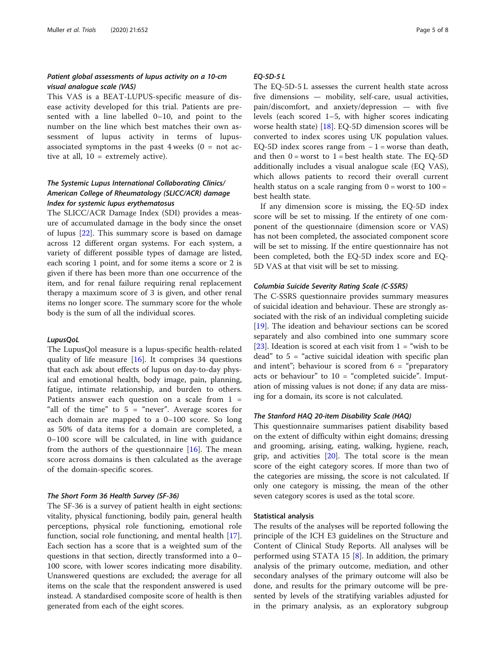## Patient global assessments of lupus activity on a 10-cm visual analogue scale (VAS)

This VAS is a BEAT-LUPUS-specific measure of disease activity developed for this trial. Patients are presented with a line labelled 0–10, and point to the number on the line which best matches their own assessment of lupus activity in terms of lupusassociated symptoms in the past  $4$  weeks  $(0 = not$  active at all, 10 = extremely active).

## The Systemic Lupus International Collaborating Clinics/ American College of Rheumatology (SLICC/ACR) damage Index for systemic lupus erythematosus

The SLICC/ACR Damage Index (SDI) provides a measure of accumulated damage in the body since the onset of lupus [\[22\]](#page-7-0). This summary score is based on damage across 12 different organ systems. For each system, a variety of different possible types of damage are listed, each scoring 1 point, and for some items a score or 2 is given if there has been more than one occurrence of the item, and for renal failure requiring renal replacement therapy a maximum score of 3 is given, and other renal items no longer score. The summary score for the whole body is the sum of all the individual scores.

## LupusQoL

The LupusQol measure is a lupus-specific health-related quality of life measure  $[16]$  $[16]$  $[16]$ . It comprises 34 questions that each ask about effects of lupus on day-to-day physical and emotional health, body image, pain, planning, fatigue, intimate relationship, and burden to others. Patients answer each question on a scale from 1 = "all of the time" to  $5 =$  "never". Average scores for each domain are mapped to a 0–100 score. So long as 50% of data items for a domain are completed, a 0–100 score will be calculated, in line with guidance from the authors of the questionnaire  $[16]$  $[16]$ . The mean score across domains is then calculated as the average of the domain-specific scores.

#### The Short Form 36 Health Survey (SF-36)

The SF-36 is a survey of patient health in eight sections: vitality, physical functioning, bodily pain, general health perceptions, physical role functioning, emotional role function, social role functioning, and mental health [\[17](#page-7-0)]. Each section has a score that is a weighted sum of the questions in that section, directly transformed into a 0– 100 score, with lower scores indicating more disability. Unanswered questions are excluded; the average for all items on the scale that the respondent answered is used instead. A standardised composite score of health is then generated from each of the eight scores.

## EQ-5D-5 L

The EQ-5D-5 L assesses the current health state across five dimensions — mobility, self-care, usual activities, pain/discomfort, and anxiety/depression — with five levels (each scored 1–5, with higher scores indicating worse health state) [[18\]](#page-7-0). EQ-5D dimension scores will be converted to index scores using UK population values. EQ-5D index scores range from  $-1$  = worse than death, and then  $0 =$  worst to  $1 =$  best health state. The EQ-5D additionally includes a visual analogue scale (EQ VAS), which allows patients to record their overall current health status on a scale ranging from  $0 =$  worst to  $100 =$ best health state.

If any dimension score is missing, the EQ-5D index score will be set to missing. If the entirety of one component of the questionnaire (dimension score or VAS) has not been completed, the associated component score will be set to missing. If the entire questionnaire has not been completed, both the EQ-5D index score and EQ-5D VAS at that visit will be set to missing.

## Columbia Suicide Severity Rating Scale (C-SSRS)

The C-SSRS questionnaire provides summary measures of suicidal ideation and behaviour. These are strongly associated with the risk of an individual completing suicide [[19\]](#page-7-0). The ideation and behaviour sections can be scored separately and also combined into one summary score [[23\]](#page-7-0). Ideation is scored at each visit from  $1 =$  "wish to be dead" to 5 = "active suicidal ideation with specific plan and intent"; behaviour is scored from  $6 =$  "preparatory" acts or behaviour" to  $10 =$  "completed suicide". Imputation of missing values is not done; if any data are missing for a domain, its score is not calculated.

## The Stanford HAQ 20-item Disability Scale (HAQ)

This questionnaire summarises patient disability based on the extent of difficulty within eight domains; dressing and grooming, arising, eating, walking, hygiene, reach, grip, and activities  $[20]$ . The total score is the mean score of the eight category scores. If more than two of the categories are missing, the score is not calculated. If only one category is missing, the mean of the other seven category scores is used as the total score.

## Statistical analysis

The results of the analyses will be reported following the principle of the ICH E3 guidelines on the Structure and Content of Clinical Study Reports. All analyses will be performed using STATA 15  $[8]$  $[8]$  $[8]$ . In addition, the primary analysis of the primary outcome, mediation, and other secondary analyses of the primary outcome will also be done, and results for the primary outcome will be presented by levels of the stratifying variables adjusted for in the primary analysis, as an exploratory subgroup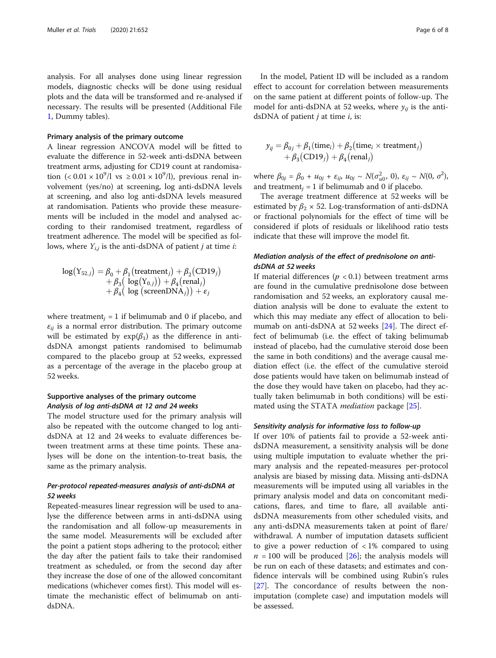analysis. For all analyses done using linear regression models, diagnostic checks will be done using residual plots and the data will be transformed and re-analysed if necessary. The results will be presented (Additional File [1,](#page-6-0) Dummy tables).

## Primary analysis of the primary outcome

A linear regression ANCOVA model will be fitted to evaluate the difference in 52-week anti-dsDNA between treatment arms, adjusting for CD19 count at randomisation  $(< 0.01 \times 10^9/l$  vs  $\geq 0.01 \times 10^9/l$ ), previous renal involvement (yes/no) at screening, log anti-dsDNA levels at screening, and also log anti-dsDNA levels measured at randomisation. Patients who provide these measurements will be included in the model and analysed according to their randomised treatment, regardless of treatment adherence. The model will be specified as follows, where  $Y_{i,j}$  is the anti-dsDNA of patient *j* at time *i*:

$$
log(Y_{52,j}) = \beta_0 + \beta_1 \left( treatment_j \right) + \beta_2 \left( CDI9_j \right) + \beta_3 \left( log(Y_{0,j}) \right) + \beta_4 \left( renal_j \right) + \beta_4 \left( log \left( screenDNA_j \right) \right) + \varepsilon_j
$$

where treatment<sub>i</sub> = 1 if belimumab and 0 if placebo, and  $\varepsilon_{ii}$  is a normal error distribution. The primary outcome will be estimated by  $exp(\beta_1)$  as the difference in antidsDNA amongst patients randomised to belimumab compared to the placebo group at 52 weeks, expressed as a percentage of the average in the placebo group at 52 weeks.

## Supportive analyses of the primary outcome Analysis of log anti-dsDNA at 12 and 24 weeks

The model structure used for the primary analysis will also be repeated with the outcome changed to log antidsDNA at 12 and 24 weeks to evaluate differences between treatment arms at these time points. These analyses will be done on the intention-to-treat basis, the same as the primary analysis.

## Per-protocol repeated-measures analysis of anti-dsDNA at 52 weeks

Repeated-measures linear regression will be used to analyse the difference between arms in anti-dsDNA using the randomisation and all follow-up measurements in the same model. Measurements will be excluded after the point a patient stops adhering to the protocol; either the day after the patient fails to take their randomised treatment as scheduled, or from the second day after they increase the dose of one of the allowed concomitant medications (whichever comes first). This model will estimate the mechanistic effect of belimumab on antidsDNA.

In the model, Patient ID will be included as a random effect to account for correlation between measurements on the same patient at different points of follow-up. The model for anti-dsDNA at 52 weeks, where  $y_{ii}$  is the antidsDNA of patient  $j$  at time  $i$ , is:

$$
y_{ij} = \beta_{0j} + \beta_1 \text{(time}_i) + \beta_2 \text{(time}_i \times \text{treatment}_i) + \beta_3 \text{(CD19)} + \beta_4 \text{(renal}_i)
$$

where  $\beta_{0j} = \beta_0 + u_{0j} + \varepsilon_{ij}, u_{0j} \sim N(\sigma_{u0}^2, 0), \varepsilon_{ij} \sim N(0, \sigma^2),$ and treatment<sub>i</sub> = 1 if belimumab and 0 if placebo.

The average treatment difference at 52 weeks will be estimated by  $\beta_2 \times 52$ . Log-transformation of anti-dsDNA or fractional polynomials for the effect of time will be considered if plots of residuals or likelihood ratio tests indicate that these will improve the model fit.

## Mediation analysis of the effect of prednisolone on antidsDNA at 52 weeks

If material differences ( $p < 0.1$ ) between treatment arms are found in the cumulative prednisolone dose between randomisation and 52 weeks, an exploratory causal mediation analysis will be done to evaluate the extent to which this may mediate any effect of allocation to belimumab on anti-dsDNA at 52 weeks [[24\]](#page-7-0). The direct effect of belimumab (i.e. the effect of taking belimumab instead of placebo, had the cumulative steroid dose been the same in both conditions) and the average causal mediation effect (i.e. the effect of the cumulative steroid dose patients would have taken on belimumab instead of the dose they would have taken on placebo, had they actually taken belimumab in both conditions) will be estimated using the STATA *mediation* package [\[25\]](#page-7-0).

## Sensitivity analysis for informative loss to follow-up

If over 10% of patients fail to provide a 52-week antidsDNA measurement, a sensitivity analysis will be done using multiple imputation to evaluate whether the primary analysis and the repeated-measures per-protocol analysis are biased by missing data. Missing anti-dsDNA measurements will be imputed using all variables in the primary analysis model and data on concomitant medications, flares, and time to flare, all available antidsDNA measurements from other scheduled visits, and any anti-dsDNA measurements taken at point of flare/ withdrawal. A number of imputation datasets sufficient to give a power reduction of  $\langle 1\% \rangle$  compared to using  $n = 100$  will be produced [[26\]](#page-7-0); the analysis models will be run on each of these datasets; and estimates and confidence intervals will be combined using Rubin's rules [[27\]](#page-7-0). The concordance of results between the nonimputation (complete case) and imputation models will be assessed.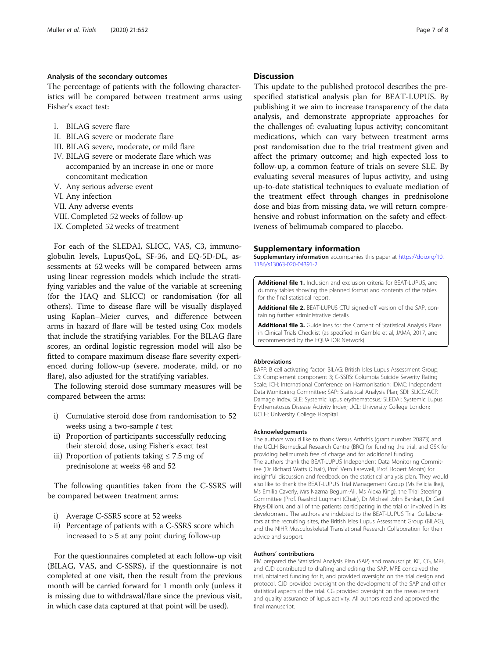## <span id="page-6-0"></span>Analysis of the secondary outcomes

The percentage of patients with the following characteristics will be compared between treatment arms using Fisher's exact test:

- I. BILAG severe flare
- II. BILAG severe or moderate flare
- III. BILAG severe, moderate, or mild flare
- IV. BILAG severe or moderate flare which was accompanied by an increase in one or more concomitant medication
- V. Any serious adverse event
- VI. Any infection
- VII. Any adverse events
- VIII. Completed 52 weeks of follow-up
- IX. Completed 52 weeks of treatment

For each of the SLEDAI, SLICC, VAS, C3, immunoglobulin levels, LupusQoL, SF-36, and EQ-5D-DL, assessments at 52 weeks will be compared between arms using linear regression models which include the stratifying variables and the value of the variable at screening (for the HAQ and SLICC) or randomisation (for all others). Time to disease flare will be visually displayed using Kaplan–Meier curves, and difference between arms in hazard of flare will be tested using Cox models that include the stratifying variables. For the BILAG flare scores, an ordinal logistic regression model will also be fitted to compare maximum disease flare severity experienced during follow-up (severe, moderate, mild, or no flare), also adjusted for the stratifying variables.

The following steroid dose summary measures will be compared between the arms:

- i) Cumulative steroid dose from randomisation to 52 weeks using a two-sample  $t$  test
- ii) Proportion of participants successfully reducing their steroid dose, using Fisher's exact test
- iii) Proportion of patients taking  $\leq 7.5$  mg of prednisolone at weeks 48 and 52

The following quantities taken from the C-SSRS will be compared between treatment arms:

- i) Average C-SSRS score at 52 weeks
- ii) Percentage of patients with a C-SSRS score which increased to > 5 at any point during follow-up

For the questionnaires completed at each follow-up visit (BILAG, VAS, and C-SSRS), if the questionnaire is not completed at one visit, then the result from the previous month will be carried forward for 1 month only (unless it is missing due to withdrawal/flare since the previous visit, in which case data captured at that point will be used).

## **Discussion**

This update to the published protocol describes the prespecified statistical analysis plan for BEAT-LUPUS. By publishing it we aim to increase transparency of the data analysis, and demonstrate appropriate approaches for the challenges of: evaluating lupus activity; concomitant medications, which can vary between treatment arms post randomisation due to the trial treatment given and affect the primary outcome; and high expected loss to follow-up, a common feature of trials on severe SLE. By evaluating several measures of lupus activity, and using up-to-date statistical techniques to evaluate mediation of the treatment effect through changes in prednisolone dose and bias from missing data, we will return comprehensive and robust information on the safety and effectiveness of belimumab compared to placebo.

### Supplementary information

Supplementary information accompanies this paper at [https://doi.org/10.](https://doi.org/10.1186/s13063-020-04391-2) [1186/s13063-020-04391-2](https://doi.org/10.1186/s13063-020-04391-2).

Additional file 1. Inclusion and exclusion criteria for BEAT-LUPUS, and dummy tables showing the planned format and contents of the tables for the final statistical report.

Additional file 2. BEAT-LUPUS CTU signed-off version of the SAP, containing further administrative details.

Additional file 3. Guidelines for the Content of Statistical Analysis Plans in Clinical Trials Checklist (as specified in Gamble et al, JAMA, 2017, and recommended by the EQUATOR Network).

### Abbreviations

BAFF: B cell activating factor; BILAG: British Isles Lupus Assessment Group; C3: Complement component 3; C-SSRS: Columbia Suicide Severity Rating Scale; ICH: International Conference on Harmonisation; IDMC: Independent Data Monitoring Committee; SAP: Statistical Analysis Plan; SDI: SLICC/ACR Damage Index; SLE: Systemic lupus erythematosus; SLEDAI: Systemic Lupus Erythematosus Disease Activity Index; UCL: University College London; UCLH: University College Hospital

#### Acknowledgements

The authors would like to thank Versus Arthritis (grant number 20873) and the UCLH Biomedical Research Centre (BRC) for funding the trial, and GSK for providing belimumab free of charge and for additional funding. The authors thank the BEAT-LUPUS Independent Data Monitoring Committee (Dr Richard Watts (Chair), Prof. Vern Farewell, Prof. Robert Moots) for insightful discussion and feedback on the statistical analysis plan. They would also like to thank the BEAT-LUPUS Trial Management Group (Ms Felicia Ikeji, Ms Emilia Caverly, Mrs Nazma Begum-Ali, Ms Alexa King), the Trial Steering Committee (Prof. Raashid Luqmani (Chair), Dr Michael John Bankart, Dr Ceril Rhys-Dillon), and all of the patients participating in the trial or involved in its development. The authors are indebted to the BEAT-LUPUS Trial Collaborators at the recruiting sites, the British Isles Lupus Assessment Group (BILAG), and the NIHR Musculoskeletal Translational Research Collaboration for their advice and support.

#### Authors' contributions

PM prepared the Statistical Analysis Plan (SAP) and manuscript. KC, CG, MRE, and CJD contributed to drafting and editing the SAP. MRE conceived the trial, obtained funding for it, and provided oversight on the trial design and protocol. CJD provided oversight on the development of the SAP and other statistical aspects of the trial. CG provided oversight on the measurement and quality assurance of lupus activity. All authors read and approved the final manuscript.